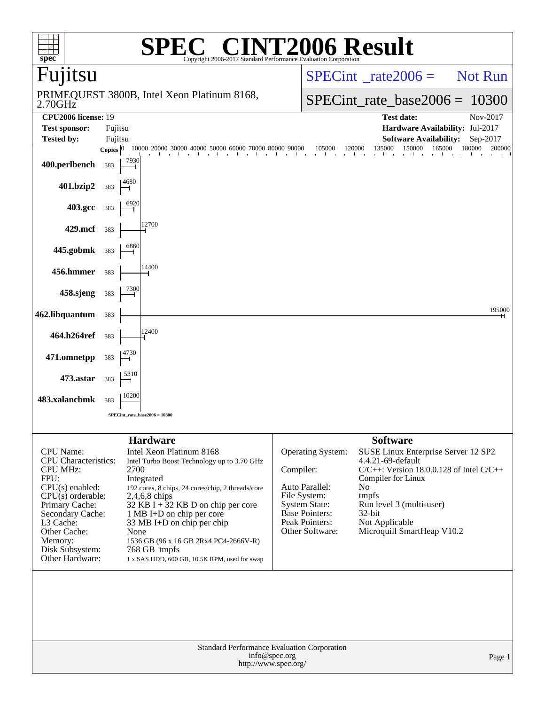| $\mathbf{spec}^*$                                                                                                                                                                                                                          | $\bigcap$<br>Copyright 2006-2017                                                                                                                                                                                                                                                                                                                                                         |                                                                                                                            | <b>INT2006 Result</b><br><b>Standard Performance Evaluation Corporation</b>                                                                                                                                                                                         |
|--------------------------------------------------------------------------------------------------------------------------------------------------------------------------------------------------------------------------------------------|------------------------------------------------------------------------------------------------------------------------------------------------------------------------------------------------------------------------------------------------------------------------------------------------------------------------------------------------------------------------------------------|----------------------------------------------------------------------------------------------------------------------------|---------------------------------------------------------------------------------------------------------------------------------------------------------------------------------------------------------------------------------------------------------------------|
| Fujitsu                                                                                                                                                                                                                                    |                                                                                                                                                                                                                                                                                                                                                                                          |                                                                                                                            | <b>Not Run</b><br>$SPECint^{\circ}$ rate $2006 =$                                                                                                                                                                                                                   |
| 2.70GHz                                                                                                                                                                                                                                    | PRIMEQUEST 3800B, Intel Xeon Platinum 8168,                                                                                                                                                                                                                                                                                                                                              |                                                                                                                            | $SPECint_rate_base2006 = 10300$                                                                                                                                                                                                                                     |
| <b>CPU2006</b> license: 19                                                                                                                                                                                                                 |                                                                                                                                                                                                                                                                                                                                                                                          |                                                                                                                            | <b>Test date:</b><br>Nov-2017<br>Hardware Availability: Jul-2017                                                                                                                                                                                                    |
| <b>Test sponsor:</b><br><b>Tested by:</b>                                                                                                                                                                                                  | Fujitsu<br>Fujitsu                                                                                                                                                                                                                                                                                                                                                                       |                                                                                                                            | <b>Software Availability:</b><br>Sep-2017                                                                                                                                                                                                                           |
|                                                                                                                                                                                                                                            | 10000 20000 30000 40000 50000 60000 70000 80000 90000<br>Copies $ 0\rangle$                                                                                                                                                                                                                                                                                                              |                                                                                                                            | 105000<br>135000<br>150000<br>120000<br>165000<br>180000<br>200000                                                                                                                                                                                                  |
| 400.perlbench                                                                                                                                                                                                                              | 7930<br>383                                                                                                                                                                                                                                                                                                                                                                              |                                                                                                                            | and the<br>- 1                                                                                                                                                                                                                                                      |
| 401.bzip2                                                                                                                                                                                                                                  | 4680<br>383                                                                                                                                                                                                                                                                                                                                                                              |                                                                                                                            |                                                                                                                                                                                                                                                                     |
| 403.gcc                                                                                                                                                                                                                                    | 6920<br>383                                                                                                                                                                                                                                                                                                                                                                              |                                                                                                                            |                                                                                                                                                                                                                                                                     |
| 429.mcf                                                                                                                                                                                                                                    | 12700<br>383                                                                                                                                                                                                                                                                                                                                                                             |                                                                                                                            |                                                                                                                                                                                                                                                                     |
| 445.gobmk                                                                                                                                                                                                                                  | 6860<br>383                                                                                                                                                                                                                                                                                                                                                                              |                                                                                                                            |                                                                                                                                                                                                                                                                     |
| 456.hmmer                                                                                                                                                                                                                                  | 14400<br>383<br>7300                                                                                                                                                                                                                                                                                                                                                                     |                                                                                                                            |                                                                                                                                                                                                                                                                     |
| 458.sjeng                                                                                                                                                                                                                                  | 383                                                                                                                                                                                                                                                                                                                                                                                      |                                                                                                                            | 195000                                                                                                                                                                                                                                                              |
| 462.libquantum<br>464.h264ref                                                                                                                                                                                                              | 383<br>12400<br>383                                                                                                                                                                                                                                                                                                                                                                      |                                                                                                                            |                                                                                                                                                                                                                                                                     |
| 471.omnetpp                                                                                                                                                                                                                                | 4730<br>383                                                                                                                                                                                                                                                                                                                                                                              |                                                                                                                            |                                                                                                                                                                                                                                                                     |
| 473.astar                                                                                                                                                                                                                                  | 5310<br>383                                                                                                                                                                                                                                                                                                                                                                              |                                                                                                                            |                                                                                                                                                                                                                                                                     |
| 483.xalancbmk                                                                                                                                                                                                                              | 10200<br>383                                                                                                                                                                                                                                                                                                                                                                             |                                                                                                                            |                                                                                                                                                                                                                                                                     |
|                                                                                                                                                                                                                                            | SPECint rate base $2006 = 10300$                                                                                                                                                                                                                                                                                                                                                         |                                                                                                                            |                                                                                                                                                                                                                                                                     |
|                                                                                                                                                                                                                                            | <b>Hardware</b>                                                                                                                                                                                                                                                                                                                                                                          |                                                                                                                            | <b>Software</b>                                                                                                                                                                                                                                                     |
| <b>CPU</b> Name:<br><b>CPU</b> Characteristics:<br><b>CPU MHz:</b><br>FPU:<br>$CPU(s)$ enabled:<br>$CPU(s)$ orderable:<br>Primary Cache:<br>Secondary Cache:<br>L3 Cache:<br>Other Cache:<br>Memory:<br>Disk Subsystem:<br>Other Hardware: | Intel Xeon Platinum 8168<br>Intel Turbo Boost Technology up to 3.70 GHz<br>2700<br>Integrated<br>192 cores, 8 chips, 24 cores/chip, 2 threads/core<br>2,4,6,8 chips<br>32 KB I + $32$ KB D on chip per core<br>1 MB I+D on chip per core<br>33 MB I+D on chip per chip<br>None<br>1536 GB (96 x 16 GB 2Rx4 PC4-2666V-R)<br>768 GB tmpfs<br>1 x SAS HDD, 600 GB, 10.5K RPM, used for swap | Compiler:<br>Auto Parallel:<br>File System:<br><b>System State:</b><br>Base Pointers:<br>Peak Pointers:<br>Other Software: | <b>Operating System:</b><br>SUSE Linux Enterprise Server 12 SP2<br>4.4.21-69-default<br>$C/C++$ : Version 18.0.0.128 of Intel $C/C++$<br>Compiler for Linux<br>No<br>tmpfs<br>Run level 3 (multi-user)<br>$32$ -bit<br>Not Applicable<br>Microquill SmartHeap V10.2 |
|                                                                                                                                                                                                                                            | Standard Performance Evaluation Corporation<br>info@spec.org<br>http://www.spec.org/                                                                                                                                                                                                                                                                                                     |                                                                                                                            | Page 1                                                                                                                                                                                                                                                              |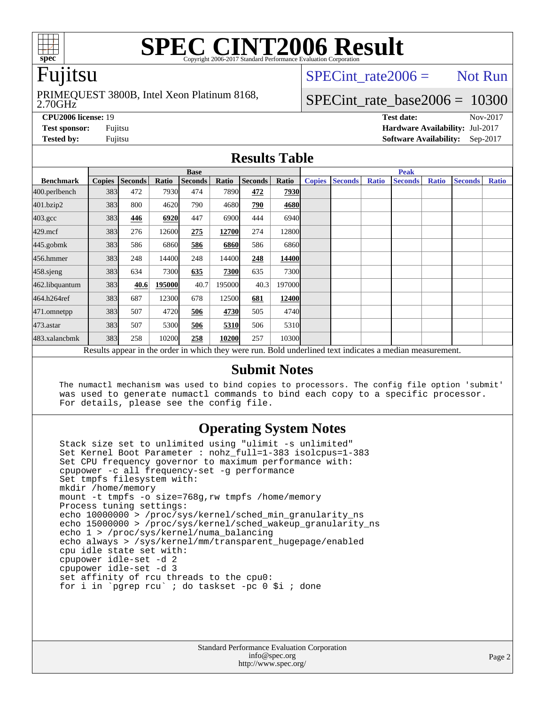

# **[SPEC CINT2006 Result](http://www.spec.org/auto/cpu2006/Docs/result-fields.html#SPECCINT2006Result)**

# Fujitsu

#### 2.70GHz PRIMEQUEST 3800B, Intel Xeon Platinum 8168,

SPECint rate  $2006 =$  Not Run

# SPECint rate base2006 =  $10300$

**[CPU2006 license:](http://www.spec.org/auto/cpu2006/Docs/result-fields.html#CPU2006license)** 19 **[Test date:](http://www.spec.org/auto/cpu2006/Docs/result-fields.html#Testdate)** Nov-2017 **[Test sponsor:](http://www.spec.org/auto/cpu2006/Docs/result-fields.html#Testsponsor)** Fujitsu **[Hardware Availability:](http://www.spec.org/auto/cpu2006/Docs/result-fields.html#HardwareAvailability)** Jul-2017 **[Tested by:](http://www.spec.org/auto/cpu2006/Docs/result-fields.html#Testedby)** Fujitsu **[Software Availability:](http://www.spec.org/auto/cpu2006/Docs/result-fields.html#SoftwareAvailability)** Sep-2017

#### **[Results Table](http://www.spec.org/auto/cpu2006/Docs/result-fields.html#ResultsTable)**

|                                                                                                          | <b>Base</b>   |                |        |                |        | <b>Peak</b>    |             |               |                |              |                |              |                |              |
|----------------------------------------------------------------------------------------------------------|---------------|----------------|--------|----------------|--------|----------------|-------------|---------------|----------------|--------------|----------------|--------------|----------------|--------------|
| <b>Benchmark</b>                                                                                         | <b>Copies</b> | <b>Seconds</b> | Ratio  | <b>Seconds</b> | Ratio  | <b>Seconds</b> | Ratio       | <b>Copies</b> | <b>Seconds</b> | <b>Ratio</b> | <b>Seconds</b> | <b>Ratio</b> | <b>Seconds</b> | <b>Ratio</b> |
| 400.perlbench                                                                                            | 383           | 472            | 7930   | 474            | 7890   | 472            | 7930        |               |                |              |                |              |                |              |
| 401.bzip2                                                                                                | 383           | 800            | 4620   | 790            | 4680   | 790            | 4680        |               |                |              |                |              |                |              |
| $403.\mathrm{gcc}$                                                                                       | 383           | 446            | 6920   | 447            | 6900   | 444            | 6940        |               |                |              |                |              |                |              |
| $429$ .mcf                                                                                               | 383           | 276            | 12600  | 275            | 12700  | 274            | 12800       |               |                |              |                |              |                |              |
| $445$ .gobm $k$                                                                                          | 383           | 586            | 6860   | 586            | 6860   | 586            | 6860        |               |                |              |                |              |                |              |
| 456.hmmer                                                                                                | 383           | 248            | 14400  | 248            | 14400  | 248            | 14400       |               |                |              |                |              |                |              |
| 458 sjeng                                                                                                | 383           | 634            | 7300   | 635            | 7300   | 635            | <b>7300</b> |               |                |              |                |              |                |              |
| 462.libquantum                                                                                           | 383           | 40.6           | 195000 | 40.7           | 195000 | 40.3           | 197000      |               |                |              |                |              |                |              |
| 464.h264ref                                                                                              | 383           | 687            | 12300  | 678            | 12500  | 681            | 12400       |               |                |              |                |              |                |              |
| 471.omnetpp                                                                                              | 383           | 507            | 4720   | 506            | 4730   | 505            | 4740        |               |                |              |                |              |                |              |
| $473$ . astar                                                                                            | 383           | 507            | 5300   | 506            | 5310   | 506            | 5310        |               |                |              |                |              |                |              |
| 483.xalancbmk                                                                                            | 383           | 258            | 10200  | 258            | 10200  | 257            | 10300       |               |                |              |                |              |                |              |
| Results appear in the order in which they were run. Bold underlined text indicates a median measurement. |               |                |        |                |        |                |             |               |                |              |                |              |                |              |

#### **[Submit Notes](http://www.spec.org/auto/cpu2006/Docs/result-fields.html#SubmitNotes)**

 The numactl mechanism was used to bind copies to processors. The config file option 'submit' was used to generate numactl commands to bind each copy to a specific processor. For details, please see the config file.

### **[Operating System Notes](http://www.spec.org/auto/cpu2006/Docs/result-fields.html#OperatingSystemNotes)**

 Stack size set to unlimited using "ulimit -s unlimited" Set Kernel Boot Parameter : nohz\_full=1-383 isolcpus=1-383 Set CPU frequency governor to maximum performance with: cpupower -c all frequency-set -g performance Set tmpfs filesystem with: mkdir /home/memory mount -t tmpfs -o size=768g,rw tmpfs /home/memory Process tuning settings: echo 10000000 > /proc/sys/kernel/sched\_min\_granularity\_ns echo 15000000 > /proc/sys/kernel/sched\_wakeup\_granularity\_ns echo 1 > /proc/sys/kernel/numa\_balancing echo always > /sys/kernel/mm/transparent\_hugepage/enabled cpu idle state set with: cpupower idle-set -d 2 cpupower idle-set -d 3 set affinity of rcu threads to the cpu0: for i in `pgrep rcu` ; do taskset -pc 0 \$i ; done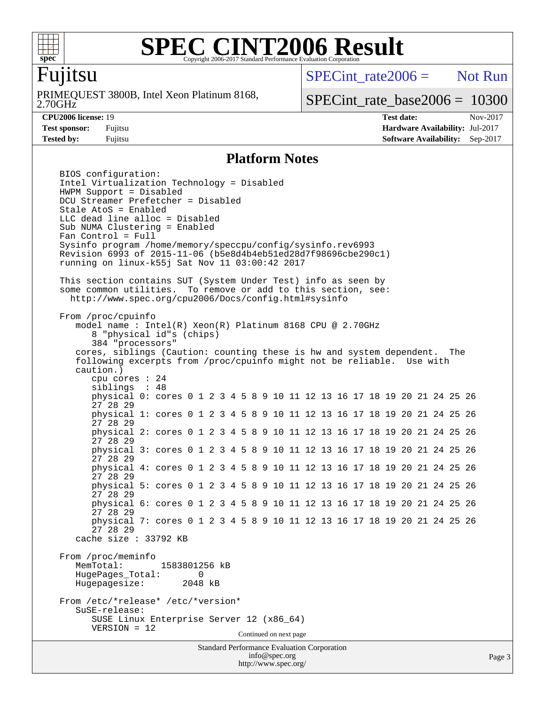

#### **[SPEC CINT2006 Result](http://www.spec.org/auto/cpu2006/Docs/result-fields.html#SPECCINT2006Result)** Copyright 2006-2017 Standard Performance Evaluation Corporation

# Fujitsu

2.70GHz PRIMEQUEST 3800B, Intel Xeon Platinum 8168,  $SPECint rate2006 =$  Not Run

SPECint rate base2006 =  $10300$ 

**[CPU2006 license:](http://www.spec.org/auto/cpu2006/Docs/result-fields.html#CPU2006license)** 19 **[Test date:](http://www.spec.org/auto/cpu2006/Docs/result-fields.html#Testdate)** Nov-2017 **[Test sponsor:](http://www.spec.org/auto/cpu2006/Docs/result-fields.html#Testsponsor)** Fujitsu **[Hardware Availability:](http://www.spec.org/auto/cpu2006/Docs/result-fields.html#HardwareAvailability)** Jul-2017 **[Tested by:](http://www.spec.org/auto/cpu2006/Docs/result-fields.html#Testedby)** Fujitsu **[Software Availability:](http://www.spec.org/auto/cpu2006/Docs/result-fields.html#SoftwareAvailability)** Sep-2017

#### **[Platform Notes](http://www.spec.org/auto/cpu2006/Docs/result-fields.html#PlatformNotes)**

Standard Performance Evaluation Corporation [info@spec.org](mailto:info@spec.org) <http://www.spec.org/> Page 3 BIOS configuration: Intel Virtualization Technology = Disabled HWPM Support = Disabled DCU Streamer Prefetcher = Disabled Stale AtoS = Enabled LLC dead line alloc = Disabled Sub NUMA Clustering = Enabled Fan Control = Full Sysinfo program /home/memory/speccpu/config/sysinfo.rev6993 Revision 6993 of 2015-11-06 (b5e8d4b4eb51ed28d7f98696cbe290c1) running on linux-k55j Sat Nov 11 03:00:42 2017 This section contains SUT (System Under Test) info as seen by some common utilities. To remove or add to this section, see: <http://www.spec.org/cpu2006/Docs/config.html#sysinfo> From /proc/cpuinfo model name : Intel(R) Xeon(R) Platinum 8168 CPU @ 2.70GHz 8 "physical id"s (chips) 384 "processors" cores, siblings (Caution: counting these is hw and system dependent. The following excerpts from /proc/cpuinfo might not be reliable. Use with caution.) cpu cores : 24 siblings : 48 physical 0: cores 0 1 2 3 4 5 8 9 10 11 12 13 16 17 18 19 20 21 24 25 26 27 28 29 physical 1: cores 0 1 2 3 4 5 8 9 10 11 12 13 16 17 18 19 20 21 24 25 26 27 28 29 physical 2: cores 0 1 2 3 4 5 8 9 10 11 12 13 16 17 18 19 20 21 24 25 26 27 28 29 physical 3: cores 0 1 2 3 4 5 8 9 10 11 12 13 16 17 18 19 20 21 24 25 26 27 28 29 physical 4: cores 0 1 2 3 4 5 8 9 10 11 12 13 16 17 18 19 20 21 24 25 26 27 28 29 physical 5: cores 0 1 2 3 4 5 8 9 10 11 12 13 16 17 18 19 20 21 24 25 26 27 28 29 physical 6: cores 0 1 2 3 4 5 8 9 10 11 12 13 16 17 18 19 20 21 24 25 26 27 28 29 physical 7: cores 0 1 2 3 4 5 8 9 10 11 12 13 16 17 18 19 20 21 24 25 26 27 28 29 cache size : 33792 KB From /proc/meminfo<br>MemTotal: 1583801256 kB HugePages\_Total: 0<br>Hugepagesize: 2048 kB Hugepagesize: From /etc/\*release\* /etc/\*version\* SuSE-release: SUSE Linux Enterprise Server 12 (x86\_64) VERSION = 12 Continued on next page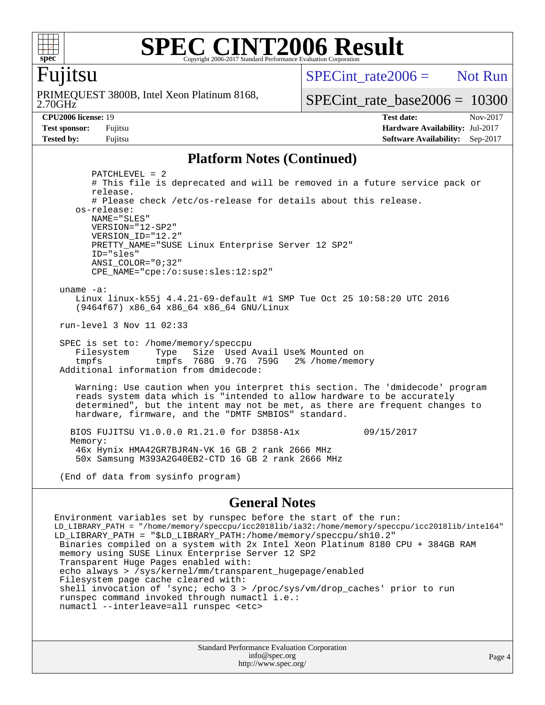

#### **[SPEC CINT2006 Result](http://www.spec.org/auto/cpu2006/Docs/result-fields.html#SPECCINT2006Result)** Copyright 2006-2017 Standard Performance Evaluation Corporation

## Fujitsu

2.70GHz PRIMEQUEST 3800B, Intel Xeon Platinum 8168, SPECint  $rate2006 =$  Not Run

SPECint rate base2006 =  $10300$ 

**[CPU2006 license:](http://www.spec.org/auto/cpu2006/Docs/result-fields.html#CPU2006license)** 19 **[Test date:](http://www.spec.org/auto/cpu2006/Docs/result-fields.html#Testdate)** Nov-2017 **[Test sponsor:](http://www.spec.org/auto/cpu2006/Docs/result-fields.html#Testsponsor)** Fujitsu **[Hardware Availability:](http://www.spec.org/auto/cpu2006/Docs/result-fields.html#HardwareAvailability) Jul-2017 [Tested by:](http://www.spec.org/auto/cpu2006/Docs/result-fields.html#Testedby)** Fujitsu **[Software Availability:](http://www.spec.org/auto/cpu2006/Docs/result-fields.html#SoftwareAvailability)** Sep-2017

#### **[Platform Notes \(Continued\)](http://www.spec.org/auto/cpu2006/Docs/result-fields.html#PlatformNotes)**

 PATCHLEVEL = 2 # This file is deprecated and will be removed in a future service pack or release. # Please check /etc/os-release for details about this release. os-release: NAME="SLES" VERSION="12-SP2" VERSION\_ID="12.2" PRETTY\_NAME="SUSE Linux Enterprise Server 12 SP2" ID="sles" ANSI\_COLOR="0;32" CPE\_NAME="cpe:/o:suse:sles:12:sp2" uname -a:

 Linux linux-k55j 4.4.21-69-default #1 SMP Tue Oct 25 10:58:20 UTC 2016 (9464f67) x86\_64 x86\_64 x86\_64 GNU/Linux

run-level 3 Nov 11 02:33

 SPEC is set to: /home/memory/speccpu Filesystem Type Size Used Avail Use% Mounted on tmpfs tmpfs 768G 9.7G 759G 2% /home/memory Additional information from dmidecode:

 Warning: Use caution when you interpret this section. The 'dmidecode' program reads system data which is "intended to allow hardware to be accurately determined", but the intent may not be met, as there are frequent changes to hardware, firmware, and the "DMTF SMBIOS" standard.

 BIOS FUJITSU V1.0.0.0 R1.21.0 for D3858-A1x 09/15/2017 Memory: 46x Hynix HMA42GR7BJR4N-VK 16 GB 2 rank 2666 MHz 50x Samsung M393A2G40EB2-CTD 16 GB 2 rank 2666 MHz

(End of data from sysinfo program)

#### **[General Notes](http://www.spec.org/auto/cpu2006/Docs/result-fields.html#GeneralNotes)**

Environment variables set by runspec before the start of the run: LD\_LIBRARY\_PATH = "/home/memory/speccpu/icc2018lib/ia32:/home/memory/speccpu/icc2018lib/intel64" LD\_LIBRARY\_PATH = "\$LD\_LIBRARY\_PATH:/home/memory/speccpu/sh10.2" Binaries compiled on a system with 2x Intel Xeon Platinum 8180 CPU + 384GB RAM memory using SUSE Linux Enterprise Server 12 SP2 Transparent Huge Pages enabled with: echo always > /sys/kernel/mm/transparent\_hugepage/enabled Filesystem page cache cleared with: shell invocation of 'sync; echo 3 > /proc/sys/vm/drop\_caches' prior to run runspec command invoked through numactl i.e.: numactl --interleave=all runspec <etc>

> Standard Performance Evaluation Corporation [info@spec.org](mailto:info@spec.org) <http://www.spec.org/>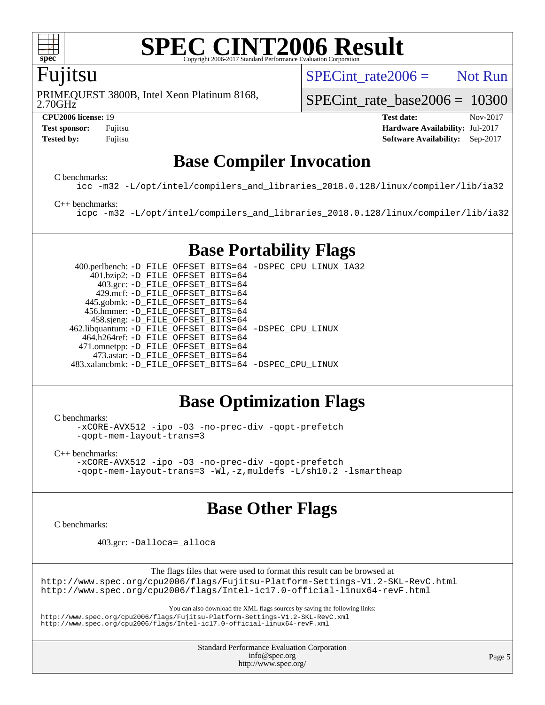

#### **[SPEC CINT2006 Result](http://www.spec.org/auto/cpu2006/Docs/result-fields.html#SPECCINT2006Result)** Copyright 2006-2017 Standard Performance Evaluation

# Fujitsu

SPECint rate  $2006 =$  Not Run

2.70GHz PRIMEQUEST 3800B, Intel Xeon Platinum 8168,

SPECint rate base2006 =  $10300$ 

**[CPU2006 license:](http://www.spec.org/auto/cpu2006/Docs/result-fields.html#CPU2006license)** 19 **[Test date:](http://www.spec.org/auto/cpu2006/Docs/result-fields.html#Testdate)** Nov-2017 **[Test sponsor:](http://www.spec.org/auto/cpu2006/Docs/result-fields.html#Testsponsor)** Fujitsu **[Hardware Availability:](http://www.spec.org/auto/cpu2006/Docs/result-fields.html#HardwareAvailability) Jul-2017 [Tested by:](http://www.spec.org/auto/cpu2006/Docs/result-fields.html#Testedby)** Fujitsu **[Software Availability:](http://www.spec.org/auto/cpu2006/Docs/result-fields.html#SoftwareAvailability)** Sep-2017

# **[Base Compiler Invocation](http://www.spec.org/auto/cpu2006/Docs/result-fields.html#BaseCompilerInvocation)**

[C benchmarks](http://www.spec.org/auto/cpu2006/Docs/result-fields.html#Cbenchmarks):

[icc -m32 -L/opt/intel/compilers\\_and\\_libraries\\_2018.0.128/linux/compiler/lib/ia32](http://www.spec.org/cpu2006/results/res2017q4/cpu2006-20171212-51135.flags.html#user_CCbase_intel_icc_f1cd40e6f144bded1b7a0c3b553250de)

#### [C++ benchmarks:](http://www.spec.org/auto/cpu2006/Docs/result-fields.html#CXXbenchmarks)

[icpc -m32 -L/opt/intel/compilers\\_and\\_libraries\\_2018.0.128/linux/compiler/lib/ia32](http://www.spec.org/cpu2006/results/res2017q4/cpu2006-20171212-51135.flags.html#user_CXXbase_intel_icpc_1c2a16043037212282641ff86d0d58ab)

# **[Base Portability Flags](http://www.spec.org/auto/cpu2006/Docs/result-fields.html#BasePortabilityFlags)**

 400.perlbench: [-D\\_FILE\\_OFFSET\\_BITS=64](http://www.spec.org/cpu2006/results/res2017q4/cpu2006-20171212-51135.flags.html#user_basePORTABILITY400_perlbench_file_offset_bits_64_438cf9856305ebd76870a2c6dc2689ab) [-DSPEC\\_CPU\\_LINUX\\_IA32](http://www.spec.org/cpu2006/results/res2017q4/cpu2006-20171212-51135.flags.html#b400.perlbench_baseCPORTABILITY_DSPEC_CPU_LINUX_IA32) 401.bzip2: [-D\\_FILE\\_OFFSET\\_BITS=64](http://www.spec.org/cpu2006/results/res2017q4/cpu2006-20171212-51135.flags.html#user_basePORTABILITY401_bzip2_file_offset_bits_64_438cf9856305ebd76870a2c6dc2689ab) 403.gcc: [-D\\_FILE\\_OFFSET\\_BITS=64](http://www.spec.org/cpu2006/results/res2017q4/cpu2006-20171212-51135.flags.html#user_basePORTABILITY403_gcc_file_offset_bits_64_438cf9856305ebd76870a2c6dc2689ab) 429.mcf: [-D\\_FILE\\_OFFSET\\_BITS=64](http://www.spec.org/cpu2006/results/res2017q4/cpu2006-20171212-51135.flags.html#user_basePORTABILITY429_mcf_file_offset_bits_64_438cf9856305ebd76870a2c6dc2689ab) 445.gobmk: [-D\\_FILE\\_OFFSET\\_BITS=64](http://www.spec.org/cpu2006/results/res2017q4/cpu2006-20171212-51135.flags.html#user_basePORTABILITY445_gobmk_file_offset_bits_64_438cf9856305ebd76870a2c6dc2689ab) 456.hmmer: [-D\\_FILE\\_OFFSET\\_BITS=64](http://www.spec.org/cpu2006/results/res2017q4/cpu2006-20171212-51135.flags.html#user_basePORTABILITY456_hmmer_file_offset_bits_64_438cf9856305ebd76870a2c6dc2689ab) 458.sjeng: [-D\\_FILE\\_OFFSET\\_BITS=64](http://www.spec.org/cpu2006/results/res2017q4/cpu2006-20171212-51135.flags.html#user_basePORTABILITY458_sjeng_file_offset_bits_64_438cf9856305ebd76870a2c6dc2689ab) 462.libquantum: [-D\\_FILE\\_OFFSET\\_BITS=64](http://www.spec.org/cpu2006/results/res2017q4/cpu2006-20171212-51135.flags.html#user_basePORTABILITY462_libquantum_file_offset_bits_64_438cf9856305ebd76870a2c6dc2689ab) [-DSPEC\\_CPU\\_LINUX](http://www.spec.org/cpu2006/results/res2017q4/cpu2006-20171212-51135.flags.html#b462.libquantum_baseCPORTABILITY_DSPEC_CPU_LINUX) 464.h264ref: [-D\\_FILE\\_OFFSET\\_BITS=64](http://www.spec.org/cpu2006/results/res2017q4/cpu2006-20171212-51135.flags.html#user_basePORTABILITY464_h264ref_file_offset_bits_64_438cf9856305ebd76870a2c6dc2689ab) 471.omnetpp: [-D\\_FILE\\_OFFSET\\_BITS=64](http://www.spec.org/cpu2006/results/res2017q4/cpu2006-20171212-51135.flags.html#user_basePORTABILITY471_omnetpp_file_offset_bits_64_438cf9856305ebd76870a2c6dc2689ab) 473.astar: [-D\\_FILE\\_OFFSET\\_BITS=64](http://www.spec.org/cpu2006/results/res2017q4/cpu2006-20171212-51135.flags.html#user_basePORTABILITY473_astar_file_offset_bits_64_438cf9856305ebd76870a2c6dc2689ab) 483.xalancbmk: [-D\\_FILE\\_OFFSET\\_BITS=64](http://www.spec.org/cpu2006/results/res2017q4/cpu2006-20171212-51135.flags.html#user_basePORTABILITY483_xalancbmk_file_offset_bits_64_438cf9856305ebd76870a2c6dc2689ab) [-DSPEC\\_CPU\\_LINUX](http://www.spec.org/cpu2006/results/res2017q4/cpu2006-20171212-51135.flags.html#b483.xalancbmk_baseCXXPORTABILITY_DSPEC_CPU_LINUX)

# **[Base Optimization Flags](http://www.spec.org/auto/cpu2006/Docs/result-fields.html#BaseOptimizationFlags)**

[C benchmarks](http://www.spec.org/auto/cpu2006/Docs/result-fields.html#Cbenchmarks):

[-xCORE-AVX512](http://www.spec.org/cpu2006/results/res2017q4/cpu2006-20171212-51135.flags.html#user_CCbase_f-xCORE-AVX512) [-ipo](http://www.spec.org/cpu2006/results/res2017q4/cpu2006-20171212-51135.flags.html#user_CCbase_f-ipo) [-O3](http://www.spec.org/cpu2006/results/res2017q4/cpu2006-20171212-51135.flags.html#user_CCbase_f-O3) [-no-prec-div](http://www.spec.org/cpu2006/results/res2017q4/cpu2006-20171212-51135.flags.html#user_CCbase_f-no-prec-div) [-qopt-prefetch](http://www.spec.org/cpu2006/results/res2017q4/cpu2006-20171212-51135.flags.html#user_CCbase_f-qopt-prefetch) [-qopt-mem-layout-trans=3](http://www.spec.org/cpu2006/results/res2017q4/cpu2006-20171212-51135.flags.html#user_CCbase_f-qopt-mem-layout-trans_170f5be61cd2cedc9b54468c59262d5d)

[C++ benchmarks:](http://www.spec.org/auto/cpu2006/Docs/result-fields.html#CXXbenchmarks)

[-xCORE-AVX512](http://www.spec.org/cpu2006/results/res2017q4/cpu2006-20171212-51135.flags.html#user_CXXbase_f-xCORE-AVX512) [-ipo](http://www.spec.org/cpu2006/results/res2017q4/cpu2006-20171212-51135.flags.html#user_CXXbase_f-ipo) [-O3](http://www.spec.org/cpu2006/results/res2017q4/cpu2006-20171212-51135.flags.html#user_CXXbase_f-O3) [-no-prec-div](http://www.spec.org/cpu2006/results/res2017q4/cpu2006-20171212-51135.flags.html#user_CXXbase_f-no-prec-div) [-qopt-prefetch](http://www.spec.org/cpu2006/results/res2017q4/cpu2006-20171212-51135.flags.html#user_CXXbase_f-qopt-prefetch) [-qopt-mem-layout-trans=3](http://www.spec.org/cpu2006/results/res2017q4/cpu2006-20171212-51135.flags.html#user_CXXbase_f-qopt-mem-layout-trans_170f5be61cd2cedc9b54468c59262d5d) [-Wl,-z,muldefs](http://www.spec.org/cpu2006/results/res2017q4/cpu2006-20171212-51135.flags.html#user_CXXbase_link_force_multiple1_74079c344b956b9658436fd1b6dd3a8a) [-L/sh10.2 -lsmartheap](http://www.spec.org/cpu2006/results/res2017q4/cpu2006-20171212-51135.flags.html#user_CXXbase_SmartHeap_b831f2d313e2fffa6dfe3f00ffc1f1c0)

# **[Base Other Flags](http://www.spec.org/auto/cpu2006/Docs/result-fields.html#BaseOtherFlags)**

[C benchmarks](http://www.spec.org/auto/cpu2006/Docs/result-fields.html#Cbenchmarks):

403.gcc: [-Dalloca=\\_alloca](http://www.spec.org/cpu2006/results/res2017q4/cpu2006-20171212-51135.flags.html#b403.gcc_baseEXTRA_CFLAGS_Dalloca_be3056838c12de2578596ca5467af7f3)

The flags files that were used to format this result can be browsed at

<http://www.spec.org/cpu2006/flags/Fujitsu-Platform-Settings-V1.2-SKL-RevC.html> <http://www.spec.org/cpu2006/flags/Intel-ic17.0-official-linux64-revF.html>

You can also download the XML flags sources by saving the following links:

<http://www.spec.org/cpu2006/flags/Fujitsu-Platform-Settings-V1.2-SKL-RevC.xml> <http://www.spec.org/cpu2006/flags/Intel-ic17.0-official-linux64-revF.xml>

> Standard Performance Evaluation Corporation [info@spec.org](mailto:info@spec.org) <http://www.spec.org/>